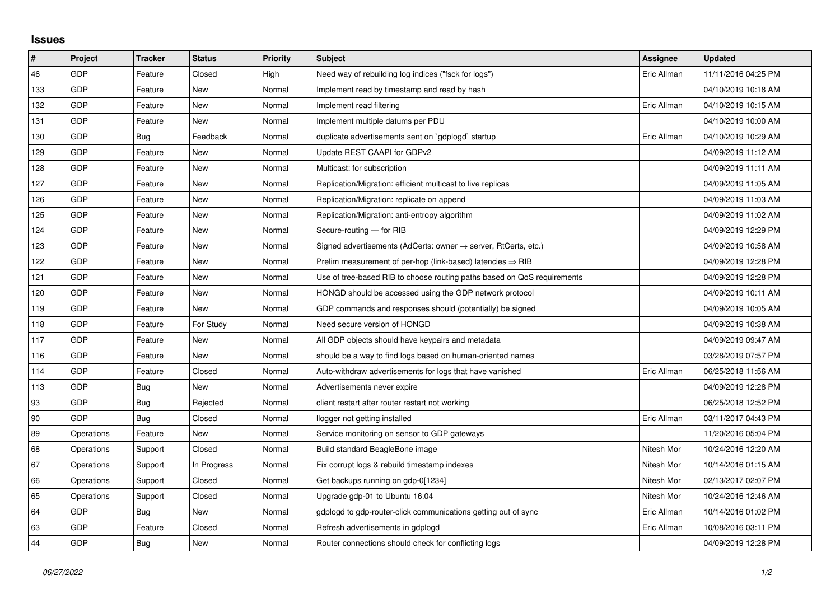## **Issues**

| $\sharp$ | Project    | <b>Tracker</b> | <b>Status</b> | <b>Priority</b> | <b>Subject</b>                                                             | <b>Assignee</b> | <b>Updated</b>      |
|----------|------------|----------------|---------------|-----------------|----------------------------------------------------------------------------|-----------------|---------------------|
| 46       | GDP        | Feature        | Closed        | High            | Need way of rebuilding log indices ("fsck for logs")                       | Eric Allman     | 11/11/2016 04:25 PM |
| 133      | GDP        | Feature        | New           | Normal          | Implement read by timestamp and read by hash                               |                 | 04/10/2019 10:18 AM |
| 132      | GDP        | Feature        | New           | Normal          | Implement read filtering                                                   | Eric Allman     | 04/10/2019 10:15 AM |
| 131      | GDP        | Feature        | <b>New</b>    | Normal          | Implement multiple datums per PDU                                          |                 | 04/10/2019 10:00 AM |
| 130      | GDP        | Bug            | Feedback      | Normal          | duplicate advertisements sent on `gdplogd` startup                         | Eric Allman     | 04/10/2019 10:29 AM |
| 129      | GDP        | Feature        | New           | Normal          | Update REST CAAPI for GDPv2                                                |                 | 04/09/2019 11:12 AM |
| 128      | GDP        | Feature        | New           | Normal          | Multicast: for subscription                                                |                 | 04/09/2019 11:11 AM |
| 127      | GDP        | Feature        | New           | Normal          | Replication/Migration: efficient multicast to live replicas                |                 | 04/09/2019 11:05 AM |
| 126      | GDP        | Feature        | New           | Normal          | Replication/Migration: replicate on append                                 |                 | 04/09/2019 11:03 AM |
| 125      | GDP        | Feature        | <b>New</b>    | Normal          | Replication/Migration: anti-entropy algorithm                              |                 | 04/09/2019 11:02 AM |
| 124      | GDP        | Feature        | <b>New</b>    | Normal          | Secure-routing - for RIB                                                   |                 | 04/09/2019 12:29 PM |
| 123      | GDP        | Feature        | New           | Normal          | Signed advertisements (AdCerts: owner $\rightarrow$ server, RtCerts, etc.) |                 | 04/09/2019 10:58 AM |
| 122      | GDP        | Feature        | <b>New</b>    | Normal          | Prelim measurement of per-hop (link-based) latencies $\Rightarrow$ RIB     |                 | 04/09/2019 12:28 PM |
| 121      | GDP        | Feature        | New           | Normal          | Use of tree-based RIB to choose routing paths based on QoS requirements    |                 | 04/09/2019 12:28 PM |
| 120      | GDP        | Feature        | New           | Normal          | HONGD should be accessed using the GDP network protocol                    |                 | 04/09/2019 10:11 AM |
| 119      | GDP        | Feature        | <b>New</b>    | Normal          | GDP commands and responses should (potentially) be signed                  |                 | 04/09/2019 10:05 AM |
| 118      | GDP        | Feature        | For Study     | Normal          | Need secure version of HONGD                                               |                 | 04/09/2019 10:38 AM |
| 117      | GDP        | Feature        | New           | Normal          | All GDP objects should have keypairs and metadata                          |                 | 04/09/2019 09:47 AM |
| 116      | GDP        | Feature        | New           | Normal          | should be a way to find logs based on human-oriented names                 |                 | 03/28/2019 07:57 PM |
| 114      | GDP        | Feature        | Closed        | Normal          | Auto-withdraw advertisements for logs that have vanished                   | Eric Allman     | 06/25/2018 11:56 AM |
| 113      | GDP        | Bug            | New           | Normal          | Advertisements never expire                                                |                 | 04/09/2019 12:28 PM |
| 93       | GDP        | <b>Bug</b>     | Rejected      | Normal          | client restart after router restart not working                            |                 | 06/25/2018 12:52 PM |
| 90       | GDP        | Bug            | Closed        | Normal          | llogger not getting installed                                              | Eric Allman     | 03/11/2017 04:43 PM |
| 89       | Operations | Feature        | New           | Normal          | Service monitoring on sensor to GDP gateways                               |                 | 11/20/2016 05:04 PM |
| 68       | Operations | Support        | Closed        | Normal          | Build standard BeagleBone image                                            | Nitesh Mor      | 10/24/2016 12:20 AM |
| 67       | Operations | Support        | In Progress   | Normal          | Fix corrupt logs & rebuild timestamp indexes                               | Nitesh Mor      | 10/14/2016 01:15 AM |
| 66       | Operations | Support        | Closed        | Normal          | Get backups running on gdp-0[1234]                                         | Nitesh Mor      | 02/13/2017 02:07 PM |
| 65       | Operations | Support        | Closed        | Normal          | Upgrade gdp-01 to Ubuntu 16.04                                             | Nitesh Mor      | 10/24/2016 12:46 AM |
| 64       | GDP        | Bug            | New           | Normal          | gdplogd to gdp-router-click communications getting out of sync             | Eric Allman     | 10/14/2016 01:02 PM |
| 63       | GDP        | Feature        | Closed        | Normal          | Refresh advertisements in gdplogd                                          | Eric Allman     | 10/08/2016 03:11 PM |
| 44       | GDP        | Bug            | New           | Normal          | Router connections should check for conflicting logs                       |                 | 04/09/2019 12:28 PM |